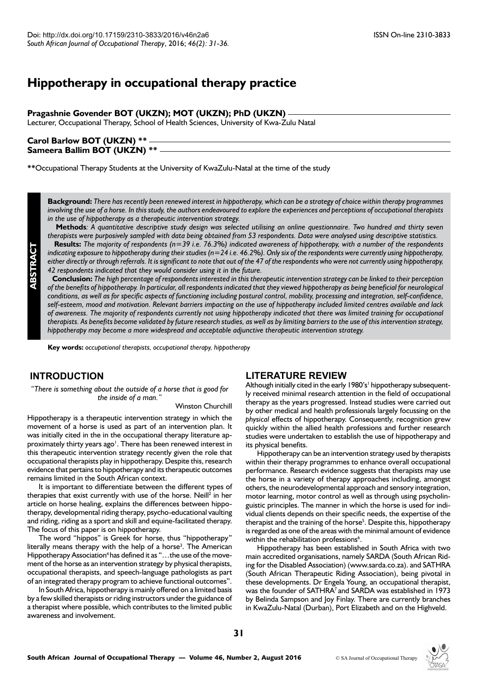# **Hippotherapy in occupational therapy practice**

### **Pragashnie Govender BOT (UKZN); MOT (UKZN); PhD (UKZN)**

Lecturer, Occupational Therapy, School of Health Sciences, University of Kwa-Zulu Natal

# **Carol Barlow BOT (UKZN) \*\* Sameera Ballim BOT (UKZN) \*\***

**\*\***Occupational Therapy Students at the University of KwaZulu-Natal at the time of the study

**Background:** *There has recently been renewed interest in hippotherapy, which can be a strategy of choice within therapy programmes involving the use of a horse. In this study, the authors endeavoured to explore the experiences and perceptions of occupational therapists in the use of hippotherapy as a therapeutic intervention strategy.*

**Methods**: A quantitative descriptive study design was selected utilising an online questionnaire. Two hundred and thirty seven *therapists were purposively sampled with data being obtained from 53 respondents. Data were analysed using descriptive statistics.* **Results:** *The majority of respondents (n=39 i.e. 76.3%) indicated awareness of hippotherapy, with a number of the respondents indicating exposure to hippotherapy during their studies (n=24 i.e. 46.2%). Only six of the respondents were currently using hippotherapy,* 

*either directly or through referrals. It is significant to note that out of the 47 of the respondents who were not currently using hippotherapy, 42 respondents indicated that they would consider using it in the future.*

**Conclusion:** *The high percentage of respondents interested in this therapeutic intervention strategy can be linked to their perception of the benefits of hippotherapy. In particular, all respondents indicated that they viewed hippotherapy as being beneficial for neurological conditions, as well as for specific aspects of functioning including postural control, mobility, processing and integration, self-confidence, self-esteem, mood and motivation. Relevant barriers impacting on the use of hippotherapy included limited centres available and lack of awareness. The majority of respondents currently not using hippotherapy indicated that there was limited training for occupational therapists. As benefits become validated by future research studies, as well as by limiting barriers to the use of this intervention strategy, hippotherapy may become a more widespread and acceptable adjunctive therapeutic intervention strategy.*

**Key words:** *occupational therapists, occupational therapy, hippotherapy*

# **INTRODUCTION**

**ABSTRACT**

*"There is something about the outside of a horse that is good for the inside of a man."*

#### Winston Churchill

Hippotherapy is a therapeutic intervention strategy in which the movement of a horse is used as part of an intervention plan. It was initially cited in the in the occupational therapy literature approximately thirty years ago<sup>1</sup>. There has been renewed interest in this therapeutic intervention strategy recently given the role that occupational therapists play in hippotherapy. Despite this, research evidence that pertains to hippotherapy and its therapeutic outcomes remains limited in the South African context.

It is important to differentiate between the different types of therapies that exist currently with use of the horse. Neill<sup>2</sup> in her article on horse healing, explains the differences between hippotherapy, developmental riding therapy, psycho-educational vaulting and riding, riding as a sport and skill and equine-facilitated therapy. The focus of this paper is on hippotherapy.

The word "hippos" is Greek for horse, thus "hippotherapy" literally means therapy with the help of a horse<sup>3</sup>. The American Hippotherapy Association<sup>4</sup> has defined it as "...the use of the movement of the horse as an intervention strategy by physical therapists, occupational therapists, and speech-language pathologists as part of an integrated therapy program to achieve functional outcomes".

In South Africa, hippotherapy is mainly offered on a limited basis by a few skilled therapists or riding instructors under the guidance of a therapist where possible, which contributes to the limited public awareness and involvement.

### **LITERATURE REVIEW**

Although initially cited in the early 1980's<sup>1</sup> hippotherapy subsequently received minimal research attention in the field of occupational therapy as the years progressed. Instead studies were carried out by other medical and health professionals largely focussing on the *physical* effects of hippotherapy. Consequently, recognition grew quickly within the allied health professions and further research studies were undertaken to establish the use of hippotherapy and its physical benefits.

Hippotherapy can be an intervention strategy used by therapists within their therapy programmes to enhance overall occupational performance. Research evidence suggests that therapists may use the horse in a variety of therapy approaches including, amongst others, the neurodevelopmental approach and sensory integration, motor learning, motor control as well as through using psycholinguistic principles. The manner in which the horse is used for individual clients depends on their specific needs, the expertise of the therapist and the training of the horse<sup>5</sup>. Despite this, hippotherapy is regarded as one of the areas with the minimal amount of evidence within the rehabilitation professions<sup>6</sup>.

Hippotherapy has been established in South Africa with two main accredited organisations, namely SARDA (South African Riding for the Disabled Association) (www.sarda.co.za). and SATHRA (South African Therapeutic Riding Association), being pivotal in these developments. Dr Engela Young, an occupational therapist, was the founder of SATHRA7 and SARDA was established in 1973 by Belinda Sampson and Joy Finlay. There are currently branches in KwaZulu-Natal (Durban), Port Elizabeth and on the Highveld.

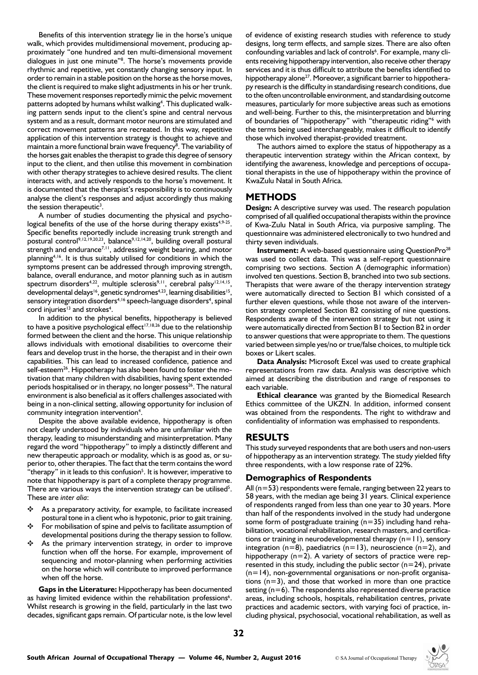Benefits of this intervention strategy lie in the horse's unique walk, which provides multidimensional movement, producing approximately "one hundred and ten multi-dimensional movement dialogues in just one minute"<sup>8</sup>. The horse's movements provide rhythmic and repetitive, yet constantly changing sensory input. In order to remain in a stable position on the horse as the horse moves, the client is required to make slight adjustments in his or her trunk. These movement responses reportedly mimic the pelvic movement patterns adopted by humans whilst walking<sup>4</sup>. This duplicated walking pattern sends input to the client's spine and central nervous system and as a result, dormant motor neurons are stimulated and correct movement patterns are recreated. In this way, repetitive application of this intervention strategy is thought to achieve and maintain a more functional brain wave frequency<sup>8</sup>. The variability of the horses gait enables the therapist to grade this degree of sensory input to the client, and then utilise this movement in combination with other therapy strategies to achieve desired results. The client interacts with, and actively responds to the horse's movement. It is documented that the therapist's responsibility is to continuously analyse the client's responses and adjust accordingly thus making the session therapeutic<sup>3</sup>.

A number of studies documenting the physical and psychological benefits of the use of the horse during therapy exists<sup>4,9-25</sup>. Specific benefits reportedly include increasing trunk strength and postural control<sup>9,12,19,20,23</sup>, balance<sup>9,12,14,20</sup>, building overall postural strength and endurance<sup>7,11</sup>, addressing weight bearing, and motor planning<sup>4,16</sup>. It is thus suitably utilised for conditions in which the symptoms present can be addressed through improving strength, balance, overall endurance, and motor planning such as in autism spectrum disorders<sup>4,22</sup>, multiple sclerosis<sup>9,11</sup>, cerebral palsy<sup>12,14,15</sup>, developmental delays<sup>16</sup>, genetic syndromes<sup>4,23</sup>, learning disabilities<sup>15</sup>, sensory integration disorders<sup>4,16</sup> speech-language disorders<sup>4</sup>, spinal cord injuries<sup>13</sup> and strokes<sup>4</sup>.

In addition to the physical benefits, hippotherapy is believed to have a positive psychological effect<sup>17,18,26</sup> due to the relationship formed between the client and the horse. This unique relationship allows individuals with emotional disabilities to overcome their fears and develop trust in the horse, the therapist and in their own capabilities. This can lead to increased confidence, patience and self-esteem<sup>26</sup>. Hippotherapy has also been found to foster the motivation that many children with disabilities, having spent extended periods hospitalised or in therapy, no longer possess<sup>26</sup>. The natural environment is also beneficial as it offers challenges associated with being in a non-clinical setting, allowing opportunity for inclusion of community integration intervention<sup>4</sup>.

Despite the above available evidence, hippotherapy is often not clearly understood by individuals who are unfamiliar with the therapy, leading to misunderstanding and misinterpretation. Many regard the word "hippotherapy" to imply a distinctly different and new therapeutic approach or modality, which is as good as, or superior to, other therapies. The fact that the term contains the word "therapy" in it leads to this confusion<sup>5</sup>. It is however, imperative to note that hippotherapy is part of a complete therapy programme. There are various ways the intervention strategy can be utilised<sup>5</sup>. These are *inter alia*:

- $\div$  As a preparatory activity, for example, to facilitate increased postural tone in a client who is hypotonic, prior to gait training.
- For mobilisation of spine and pelvis to facilitate assumption of developmental positions during the therapy session to follow.
- As the primary intervention strategy, in order to improve function when off the horse. For example, improvement of sequencing and motor-planning when performing activities on the horse which will contribute to improved performance when off the horse.

**Gaps in the Literature:** Hippotherapy has been documented as having limited evidence within the rehabilitation professions<sup>6</sup>. Whilst research is growing in the field, particularly in the last two decades, significant gaps remain. Of particular note, is the low level

of evidence of existing research studies with reference to study designs, long term effects, and sample sizes. There are also often confounding variables and lack of controls<sup>6</sup>. For example, many clients receiving hippotherapy intervention, also receive other therapy services and it is thus difficult to attribute the benefits identified to hippotherapy alone<sup>27</sup>. Moreover, a significant barrier to hippotherapy research is the difficulty in standardising research conditions, due to the often uncontrollable environment, and standardising outcome measures, particularly for more subjective areas such as emotions and well-being. Further to this, the misinterpretation and blurring of boundaries of "hippotherapy" with "therapeutic riding"<sup>6</sup> with the terms being used interchangeably, makes it difficult to identify those which involved therapist-provided treatment.

The authors aimed to explore the status of hippotherapy as a therapeutic intervention strategy within the African context, by identifying the awareness, knowledge and perceptions of occupational therapists in the use of hippotherapy within the province of KwaZulu Natal in South Africa.

# **METHODS**

**Design:** A descriptive survey was used. The research population comprised of all qualified occupational therapists within the province of Kwa-Zulu Natal in South Africa, via purposive sampling. The questionnaire was administered electronically to two hundred and thirty seven individuals.

**Instrument:** A web-based questionnaire using QuestionPro<sup>28</sup> was used to collect data. This was a self-report questionnaire comprising two sections. Section A (demographic information) involved ten questions. Section B, branched into two sub sections. Therapists that were aware of the therapy intervention strategy were automatically directed to Section B1 which consisted of a further eleven questions, while those not aware of the intervention strategy completed Section B2 consisting of nine questions. Respondents aware of the intervention strategy but not using it were automatically directed from Section B1 to Section B2 in order to answer questions that were appropriate to them. The questions varied between simple yes/no or true/false choices, to multiple tick boxes or Likert scales.

**Data Analysis:** Microsoft Excel was used to create graphical representations from raw data. Analysis was descriptive which aimed at describing the distribution and range of responses to each variable.

**Ethical clearance** was granted by the Biomedical Research Ethics committee of the UKZN. In addition, informed consent was obtained from the respondents. The right to withdraw and confidentiality of information was emphasised to respondents.

# **RESULTS**

This study surveyed respondents that are both users and non-users of hippotherapy as an intervention strategy. The study yielded fifty three respondents, with a low response rate of 22%.

# **Demographics of Respondents**

All  $(n=53)$  respondents were female, ranging between 22 years to 58 years, with the median age being 31 years. Clinical experience of respondents ranged from less than one year to 30 years. More than half of the respondents involved in the study had undergone some form of postgraduate training (n=35) including hand rehabilitation, vocational rehabilitation, research masters, and certifications or training in neurodevelopmental therapy (n=11), sensory integration ( $n=8$ ), paediatrics ( $n=13$ ), neuroscience ( $n=2$ ), and hippotherapy  $(n=2)$ . A variety of sectors of practice were represented in this study, including the public sector ( $n=24$ ), private (n=14), non-governmental organisations or non-profit organisations  $(n=3)$ , and those that worked in more than one practice setting (n=6). The respondents also represented diverse practice areas, including schools, hospitals, rehabilitation centres, private practices and academic sectors, with varying foci of practice, including physical, psychosocial, vocational rehabilitation, as well as

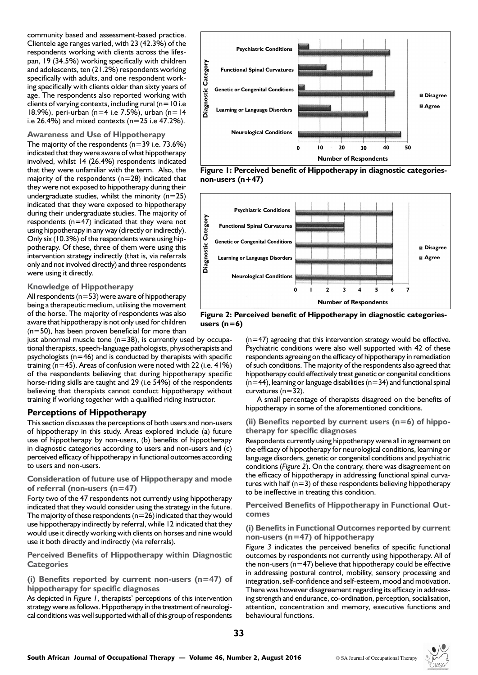community based and assessment-based practice. Clientele age ranges varied, with 23 (42.3%) of the respondents working with clients across the lifespan, 19 (34.5%) working specifically with children and adolescents, ten (21.2%) respondents working specifically with adults, and one respondent working specifically with clients older than sixty years of age. The respondents also reported working with clients of varying contexts, including rural ( $n=10$  i.e 18.9%), peri-urban (n=4 i.e 7.5%), urban (n=14 i.e  $26.4\%$ ) and mixed contexts (n=25 i.e 47.2%).

#### **Awareness and Use of Hippotherapy**

The majority of the respondents  $(n=39$  i.e. 73.6%) indicated that they were aware of what hippotherapy involved, whilst 14 (26.4%) respondents indicated that they were unfamiliar with the term. Also, the majority of the respondents  $(n=28)$  indicated that they were not exposed to hippotherapy during their undergraduate studies, whilst the minority  $(n=25)$ indicated that they were exposed to hippotherapy during their undergraduate studies. The majority of respondents ( $n=47$ ) indicated that they were not using hippotherapy in any way (directly or indirectly). Only six (10.3%) of the respondents were using hippotherapy. Of these, three of them were using this intervention strategy indirectly (that is, via referrals only and not involved directly) and three respondents were using it directly.

#### **Knowledge of Hippotherapy**

All respondents ( $n=53$ ) were aware of hippotherapy being a therapeutic medium, utilising the movement of the horse. The majority of respondents was also aware that hippotherapy is not only used for children  $(n=50)$ , has been proven beneficial for more than

just abnormal muscle tone  $(n=38)$ , is currently used by occupational therapists, speech-language pathologists, physiotherapists and psychologists ( $n=46$ ) and is conducted by therapists with specific training ( $n=45$ ). Areas of confusion were noted with 22 (i.e.  $41\%$ ) of the respondents believing that during hippotherapy specific horse-riding skills are taught and 29 (i.e 54%) of the respondents believing that therapists cannot conduct hippotherapy without training if working together with a qualified riding instructor.

### **Perceptions of Hippotherapy**

This section discusses the perceptions of both users and non-users of hippotherapy in this study. Areas explored include (a) future use of hippotherapy by non-users, (b) benefits of hippotherapy in diagnostic categories according to users and non-users and (c) perceived efficacy of hippotherapy in functional outcomes according to users and non-users.

**Consideration of future use of Hippotherapy and mode of referral (non-users (n=47)**

Forty two of the 47 respondents not currently using hippotherapy indicated that they would consider using the strategy in the future. The majority of these respondents ( $n=26$ ) indicated that they would use hippotherapy indirectly by referral, while 12 indicated that they would use it directly working with clients on horses and nine would use it both directly and indirectly (via referrals).

**Perceived Benefits of Hippotherapy within Diagnostic Categories** 

**(i) Benefits reported by current non-users (n=47) of hippotherapy for specific diagnoses** 

As depicted in *Figure 1*, therapists' perceptions of this intervention strategy were as follows. Hippotherapy in the treatment of neurological conditions was well supported with all of this group of respondents



**Figure 1: Perceived benefit of Hippotherapy in diagnostic categoriesnon-users (n+47)**



**Figure 2: Perceived benefit of Hippotherapy in diagnostic categoriesusers (n=6)**

 $(n=47)$  agreeing that this intervention strategy would be effective. Psychiatric conditions were also well supported with 42 of these respondents agreeing on the efficacy of hippotherapy in remediation of such conditions. The majority of the respondents also agreed that hippotherapy could effectively treat genetic or congenital conditions  $(n=44)$ , learning or language disabilities ( $n=34$ ) and functional spinal curvatures  $(n=32)$ .

A small percentage of therapists disagreed on the benefits of hippotherapy in some of the aforementioned conditions.

#### **(ii) Benefits reported by current users (n=6) of hippotherapy for specific diagnoses**

Respondents currently using hippotherapy were all in agreement on the efficacy of hippotherapy for neurological conditions, learning or language disorders, genetic or congenital conditions and psychiatric conditions (*Figure 2*). On the contrary, there was disagreement on the efficacy of hippotherapy in addressing functional spinal curvatures with half  $(n=3)$  of these respondents believing hippotherapy to be ineffective in treating this condition.

**Perceived Benefits of Hippotherapy in Functional Outcomes**

#### **(i) Benefits in Functional Outcomes reported by current non-users (n=47) of hippotherapy**

*Figure 3* indicates the perceived benefits of specific functional outcomes by respondents not currently using hippotherapy. All of the non-users ( $n=47$ ) believe that hippotherapy could be effective in addressing postural control, mobility, sensory processing and integration, self-confidence and self-esteem, mood and motivation. There was however disagreement regarding its efficacy in addressing strength and endurance, co-ordination, perception, socialisation, attention, concentration and memory, executive functions and behavioural functions.

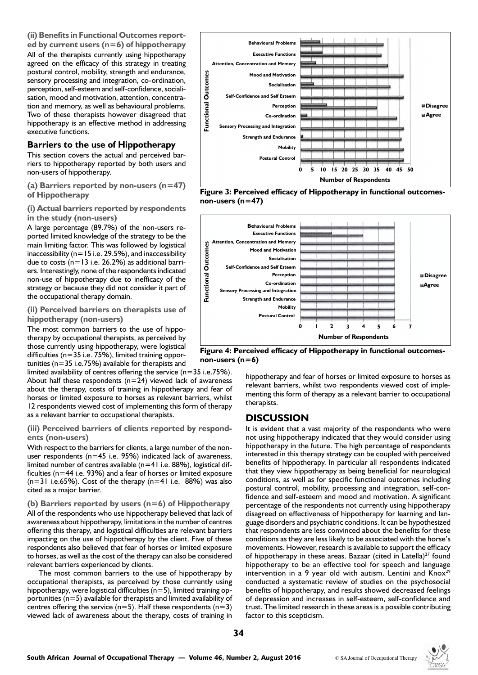

#### **Barriers to the use of Hippotherapy**

This section covers the actual and perceived barriers to hippotherapy reported by both users and non-users of hippotherapy.

**(a) Barriers reported by non-users (n=47) of Hippotherapy**

#### **(i) Actual barriers reported by respondents in the study (non-users)**

A large percentage (89.7%) of the non-users reported limited knowledge of the strategy to be the main limiting factor. This was followed by logistical inaccessibility ( $n=15$  i.e. 29.5%), and inaccessibility due to costs (n=13 i.e. 26.2%) as additional barriers. Interestingly, none of the respondents indicated non-use of hippotherapy due to inefficacy of the strategy or because they did not consider it part of the occupational therapy domain.

#### **(ii) Perceived barriers on therapists use of hippotherapy (non-users)**

The most common barriers to the use of hippotherapy by occupational therapists, as perceived by those currently using hippotherapy, were logistical difficulties (n=35 i.e. 75%), limited training opportunities (n=35 i.e.75%) available for therapists and

limited availability of centres offering the service (n=35 i.e.75%). About half these respondents  $(n=24)$  viewed lack of awareness about the therapy, costs of training in hippotherapy and fear of horses or limited exposure to horses as relevant barriers, whilst 12 respondents viewed cost of implementing this form of therapy as a relevant barrier to occupational therapists.

#### **(iii) Perceived barriers of clients reported by respondents (non-users)**

With respect to the barriers for clients, a large number of the nonuser respondents (n=45 i.e. 95%) indicated lack of awareness, limited number of centres available (n=41 i.e. 88%), logistical difficulties (n=44 i.e. 93%) and a fear of horses or limited exposure  $(n=31$  i.e.65%). Cost of the therapy  $(n=41$  i.e. 88%) was also cited as a major barrier.

**(b) Barriers reported by users (n=6) of Hippotherapy** All of the respondents who use hippotherapy believed that lack of awareness about hippotherapy, limitations in the number of centres offering this therapy, and logistical difficulties are relevant barriers impacting on the use of hippotherapy by the client. Five of these respondents also believed that fear of horses or limited exposure to horses, as well as the cost of the therapy can also be considered relevant barriers experienced by clients.

The most common barriers to the use of hippotherapy by occupational therapists, as perceived by those currently using hippotherapy, were logistical difficulties  $(n=5)$ , limited training opportunities  $(n=5)$  available for therapists and limited availability of centres offering the service ( $n=5$ ). Half these respondents ( $n=3$ ) viewed lack of awareness about the therapy, costs of training in



**Figure 3: Perceived efficacy of Hippotherapy in functional outcomesnon-users (n=47)**



**Figure 4: Perceived efficacy of Hippotherapy in functional outcomesnon-users (n=6)**

hippotherapy and fear of horses or limited exposure to horses as relevant barriers, whilst two respondents viewed cost of implementing this form of therapy as a relevant barrier to occupational therapists.

### **DISCUSSION**

It is evident that a vast majority of the respondents who were not using hippotherapy indicated that they would consider using hippotherapy in the future. The high percentage of respondents interested in this therapy strategy can be coupled with perceived benefits of hippotherapy. In particular all respondents indicated that they view hippotherapy as being beneficial for neurological conditions, as well as for specific functional outcomes including postural control, mobility, processing and integration, self-confidence and self-esteem and mood and motivation. A significant percentage of the respondents not currently using hippotherapy disagreed on effectiveness of hippotherapy for learning and language disorders and psychiatric conditions. It can be hypothesized that respondents are less convinced about the benefits for these conditions as they are less likely to be associated with the horse's movements. However, research is available to support the efficacy of hippotherapy in these areas. Bazaar (cited in Latella)<sup>27</sup> found hippotherapy to be an effective tool for speech and language intervention in a 9 year old with autism. Lentini and  $Know<sup>29</sup>$ conducted a systematic review of studies on the psychosocial benefits of hippotherapy, and results showed decreased feelings of depression and increases in self-esteem, self-confidence and trust. The limited research in these areas is a possible contributing factor to this scepticism.

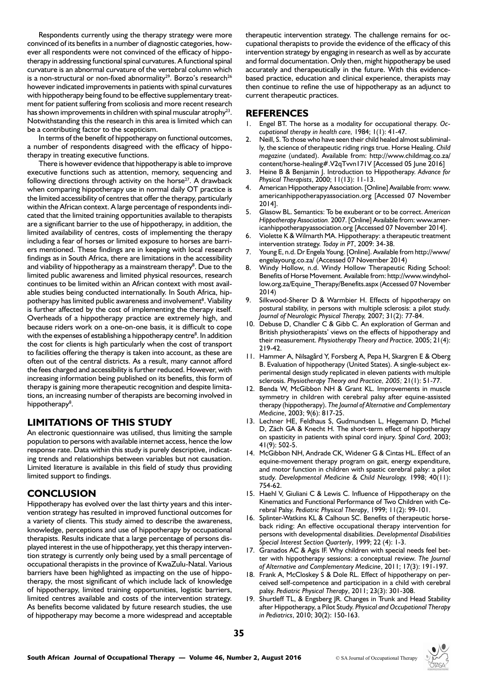Respondents currently using the therapy strategy were more convinced of its benefits in a number of diagnostic categories, however all respondents were not convinced of the efficacy of hippotherapy in addressing functional spinal curvatures. A functional spinal curvature is an abnormal curvature of the vertebral column which is a non-structural or non-fixed abnormality<sup>29</sup>. Borzo's research<sup>26</sup> however indicated improvements in patients with spinal curvatures with hippotherapy being found to be effective supplementary treatment for patient suffering from scoliosis and more recent research has shown improvements in children with spinal muscular atrophy<sup>23</sup>. Notwithstanding this the research in this area is limited which can be a contributing factor to the scepticism.

In terms of the benefit of hippotherapy on functional outcomes, a number of respondents disagreed with the efficacy of hippotherapy in treating executive functions.

There is however evidence that hippotherapy is able to improve executive functions such as attention, memory, sequencing and following directions through activity on the horse<sup>27</sup>. A drawback when comparing hippotherapy use in normal daily OT practice is the limited accessibility of centres that offer the therapy, particularly within the African context. A large percentage of respondents indicated that the limited training opportunities available to therapists are a significant barrier to the use of hippotherapy, in addition, the limited availability of centres, costs of implementing the therapy including a fear of horses or limited exposure to horses are barriers mentioned. These findings are in keeping with local research findings as in South Africa, there are limitations in the accessibility and viability of hippotherapy as a mainstream therapy<sup>8</sup>. Due to the limited public awareness and limited physical resources, research continues to be limited within an African context with most available studies being conducted internationally. In South Africa, hippotherapy has limited public awareness and involvement<sup>8</sup>. Viability is further affected by the cost of implementing the therapy itself. Overheads of a hippotherapy practice are extremely high, and because riders work on a one-on-one basis, it is difficult to cope with the expenses of establishing a hippotherapy centre<sup>8</sup>. In addition the cost for clients is high particularly when the cost of transport to facilities offering the therapy is taken into account, as these are often out of the central districts. As a result, many cannot afford the fees charged and accessibility is further reduced. However, with increasing information being published on its benefits, this form of therapy is gaining more therapeutic recognition and despite limitations, an increasing number of therapists are becoming involved in hippotherapy<sup>8</sup>.

# **LIMITATIONS OF THIS STUDY**

An electronic questionnaire was utilised, thus limiting the sample population to persons with available internet access, hence the low response rate. Data within this study is purely descriptive, indicating trends and relationships between variables but not causation. Limited literature is available in this field of study thus providing limited support to findings.

# **CONCLUSION**

Hippotherapy has evolved over the last thirty years and this intervention strategy has resulted in improved functional outcomes for a variety of clients. This study aimed to describe the awareness, knowledge, perceptions and use of hippotherapy by occupational therapists. Results indicate that a large percentage of persons displayed interest in the use of hippotherapy, yet this therapy intervention strategy is currently only being used by a small percentage of occupational therapists in the province of KwaZulu-Natal. Various barriers have been highlighted as impacting on the use of hippotherapy, the most significant of which include lack of knowledge of hippotherapy, limited training opportunities, logistic barriers, limited centres available and costs of the intervention strategy. As benefits become validated by future research studies, the use of hippotherapy may become a more widespread and acceptable

therapeutic intervention strategy. The challenge remains for occupational therapists to provide the evidence of the efficacy of this intervention strategy by engaging in research as well as by accurate and formal documentation. Only then, might hippotherapy be used accurately and therapeutically in the future. With this evidencebased practice, education and clinical experience, therapists may then continue to refine the use of hippotherapy as an adjunct to current therapeutic practices.

# **REFERENCES**

- 1. Engel BT. The horse as a modality for occupational therapy. *Occupational therapy in health care,* 1984; 1(1): 41-47.
- 2. Neill, S. To those who have seen their child healed almost subliminally, the science of therapeutic riding rings true. Horse Healing. *Child magazine* (undated). Available from: http://www.childmag.co.za/ content/horse-healing#.V2qTvvn171V [Accessed 05 June 2016]
- 3. Heine B & Benjamin J. Introduction to Hippotherapy. *Advance for Physical Therapists*, 2000; 11(13): 11-13.
- 4. American Hippotherapy Association. [Online] Available from: www. americanhippotherapyassociation.org [Accessed 07 November 2014].
- 5. Glasow BL. Semantics: To be exuberant or to be correct. *American Hippotherapy Association.* 2007. [Online] Available from: www.americanhippotherapyassociation.org [Accessed 07 November 2014].
- Violette K & Wilmarth MA. Hippotherapy: a therapeutic treatment intervention strategy. *Today in PT*, 2009: 34-38.
- 7. Young E, n.d. Dr Engela Young. [Online]. Available from http://www/ engelayoung.co.za/ (Accessed 07 November 2014)
- Windy Hollow, n.d. Windy Hollow Therapeutic Riding School: Benefits of Horse Movement. Available from: http://www.windyhollow.org.za/Equine\_Therapy/Benefits.aspx (Accessed 07 November 2014)
- 9. Silkwood-Sherer D & Warmbier H. Effects of hippotherapy on postural stability, in persons with multiple sclerosis: a pilot study. *Journal of Neurologic Physical Therapy,* 2007; 31(2): 77-84.
- 10. Debuse D, Chandler C & Gibb C. An exploration of German and British physiotherapists' views on the effects of hippotherapy and their measurement. *Physiotherapy Theory and Practice,* 2005; 21(4): 219-42.
- 11. Hammer A, Nilsagård Y, Forsberg A, Pepa H, Skargren E & Oberg B. Evaluation of hippotherapy (United States). A single-subject experimental design study replicated in eleven patients with multiple sclerosis. *Physiotherapy Theory and Practice, 2005;* 21(1): 51-77.
- 12. Benda W, McGibbon NH & Grant KL. Improvements in muscle symmetry in children with cerebral palsy after equine-assisted therapy (hippotherapy). *The Journal of Alternative and Complementary Medicine*, 2003; 9(6): 817-25.
- 13. Lechner HE, Feldhaus S, Gudmundsen L, Hegemann D, Michel D, Zäch GA & Knecht H. The short-term effect of hippotherapy on spasticity in patients with spinal cord injury. *Spinal Cord,* 2003; 41(9): 502-5.
- 14. McGibbon NH, Andrade CK, Widener G & Cintas HL. Effect of an equine-movement therapy program on gait, energy expenditure, and motor function in children with spastic cerebral palsy: a pilot study. *Developmental Medicine & Child Neurology,* 1998; 40(11): 754-62.
- 15. Haehl V, Giuliani C & Lewis C. Influence of Hippotherapy on the Kinematics and Functional Performance of Two Children with Cerebral Palsy. *Pediatric Physical Therapy*, 1999; 11(2): 99-101.
- 16. Splinter-Watkins KL & Calhoun SC. Benefits of therapeutic horseback riding: An effective occupational therapy intervention for persons with developmental disabilities. *Developmental Disabilities Special Interest Section Quarterly*, 1999; 22 (4): 1-3.
- 17. Granados AC & Agis IF. Why children with special needs feel better with hippotherapy sessions: a conceptual review. *The Journal of Alternative and Complementary Medicine*, 2011; 17(3): 191-197.
- 18. Frank A, McCloskey S & Dole RL. Effect of hippotherapy on perceived self-competence and participation in a child with cerebral palsy. *Pediatric Physical Therapy*, 2011; 23(3): 301-308.
- 19. Shurtleff TL, & Engsberg JR. Changes in Trunk and Head Stability after Hippotherapy, a Pilot Study. *Physical and Occupational Therapy in Pediatrics*, 2010; 30(2): 150-163.

**35**